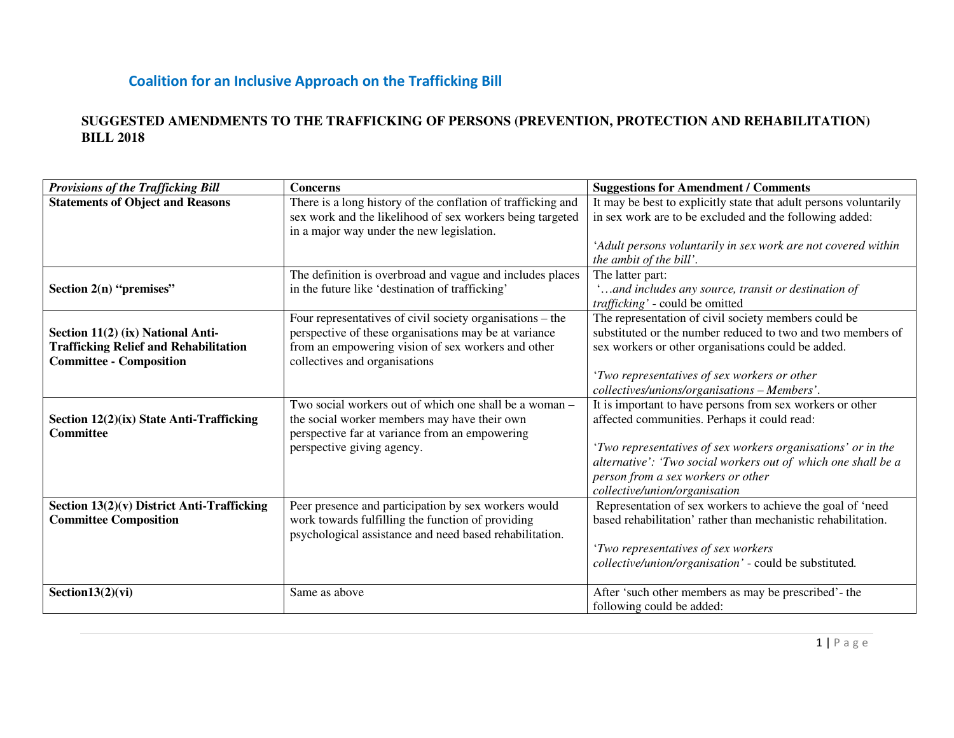#### **SUGGESTED AMENDMENTS TO THE TRAFFICKING OF PERSONS (PREVENTION, PROTECTION AND REHABILITATION) BILL 2018**

| <b>Provisions of the Trafficking Bill</b>                    | <b>Concerns</b>                                              | <b>Suggestions for Amendment / Comments</b>                                                                                   |
|--------------------------------------------------------------|--------------------------------------------------------------|-------------------------------------------------------------------------------------------------------------------------------|
| <b>Statements of Object and Reasons</b>                      | There is a long history of the conflation of trafficking and | It may be best to explicitly state that adult persons voluntarily                                                             |
|                                                              | sex work and the likelihood of sex workers being targeted    | in sex work are to be excluded and the following added:                                                                       |
|                                                              | in a major way under the new legislation.                    |                                                                                                                               |
|                                                              |                                                              | 'Adult persons voluntarily in sex work are not covered within                                                                 |
|                                                              |                                                              | the ambit of the bill'.                                                                                                       |
|                                                              | The definition is overbroad and vague and includes places    | The latter part:                                                                                                              |
| Section 2(n) "premises"                                      | in the future like 'destination of trafficking'              | and includes any source, transit or destination of                                                                            |
|                                                              |                                                              | trafficking' - could be omitted                                                                                               |
|                                                              | Four representatives of civil society organisations – the    | The representation of civil society members could be                                                                          |
| Section 11(2) (ix) National Anti-                            | perspective of these organisations may be at variance        | substituted or the number reduced to two and two members of                                                                   |
| <b>Trafficking Relief and Rehabilitation</b>                 | from an empowering vision of sex workers and other           | sex workers or other organisations could be added.                                                                            |
| <b>Committee - Composition</b>                               | collectives and organisations                                |                                                                                                                               |
|                                                              |                                                              | 'Two representatives of sex workers or other                                                                                  |
|                                                              |                                                              | collectives/unions/organisations - Members'.                                                                                  |
|                                                              | Two social workers out of which one shall be a woman –       | It is important to have persons from sex workers or other                                                                     |
| Section 12(2)(ix) State Anti-Trafficking<br><b>Committee</b> | the social worker members may have their own                 | affected communities. Perhaps it could read:                                                                                  |
|                                                              | perspective far at variance from an empowering               |                                                                                                                               |
|                                                              | perspective giving agency.                                   | 'Two representatives of sex workers organisations' or in the<br>alternative': 'Two social workers out of which one shall be a |
|                                                              |                                                              | person from a sex workers or other                                                                                            |
|                                                              |                                                              | collective/union/organisation                                                                                                 |
| Section 13(2)(v) District Anti-Trafficking                   | Peer presence and participation by sex workers would         | Representation of sex workers to achieve the goal of 'need                                                                    |
| <b>Committee Composition</b>                                 | work towards fulfilling the function of providing            | based rehabilitation' rather than mechanistic rehabilitation.                                                                 |
|                                                              | psychological assistance and need based rehabilitation.      |                                                                                                                               |
|                                                              |                                                              | 'Two representatives of sex workers                                                                                           |
|                                                              |                                                              | collective/union/organisation' - could be substituted.                                                                        |
|                                                              |                                                              |                                                                                                                               |
| Section $13(2)(vi)$                                          | Same as above                                                | After 'such other members as may be prescribed'- the                                                                          |
|                                                              |                                                              | following could be added:                                                                                                     |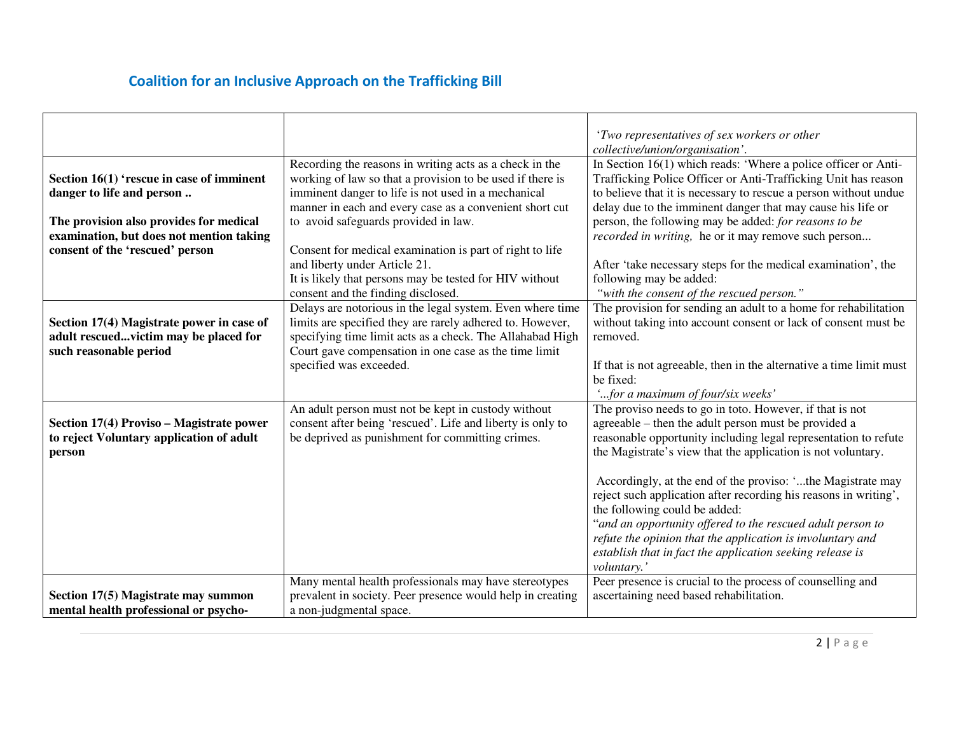|                                                                        |                                                                                                                                                                                                                                        | 'Two representatives of sex workers or other<br>collective/union/organisation'.                                                                                                                                                                                     |
|------------------------------------------------------------------------|----------------------------------------------------------------------------------------------------------------------------------------------------------------------------------------------------------------------------------------|---------------------------------------------------------------------------------------------------------------------------------------------------------------------------------------------------------------------------------------------------------------------|
| Section 16(1) 'rescue in case of imminent<br>danger to life and person | Recording the reasons in writing acts as a check in the<br>working of law so that a provision to be used if there is<br>imminent danger to life is not used in a mechanical<br>manner in each and every case as a convenient short cut | In Section 16(1) which reads: 'Where a police officer or Anti-<br>Trafficking Police Officer or Anti-Trafficking Unit has reason<br>to believe that it is necessary to rescue a person without undue<br>delay due to the imminent danger that may cause his life or |
| The provision also provides for medical                                | to avoid safeguards provided in law.                                                                                                                                                                                                   | person, the following may be added: for reasons to be                                                                                                                                                                                                               |
| examination, but does not mention taking                               |                                                                                                                                                                                                                                        | <i>recorded in writing</i> , he or it may remove such person                                                                                                                                                                                                        |
| consent of the 'rescued' person                                        | Consent for medical examination is part of right to life                                                                                                                                                                               |                                                                                                                                                                                                                                                                     |
|                                                                        | and liberty under Article 21.                                                                                                                                                                                                          | After 'take necessary steps for the medical examination', the                                                                                                                                                                                                       |
|                                                                        | It is likely that persons may be tested for HIV without                                                                                                                                                                                | following may be added:                                                                                                                                                                                                                                             |
|                                                                        | consent and the finding disclosed.<br>Delays are notorious in the legal system. Even where time                                                                                                                                        | "with the consent of the rescued person."<br>The provision for sending an adult to a home for rehabilitation                                                                                                                                                        |
| Section 17(4) Magistrate power in case of                              | limits are specified they are rarely adhered to. However,                                                                                                                                                                              | without taking into account consent or lack of consent must be                                                                                                                                                                                                      |
| adult rescuedvictim may be placed for                                  | specifying time limit acts as a check. The Allahabad High                                                                                                                                                                              | removed.                                                                                                                                                                                                                                                            |
| such reasonable period                                                 | Court gave compensation in one case as the time limit                                                                                                                                                                                  |                                                                                                                                                                                                                                                                     |
|                                                                        | specified was exceeded.                                                                                                                                                                                                                | If that is not agreeable, then in the alternative a time limit must                                                                                                                                                                                                 |
|                                                                        |                                                                                                                                                                                                                                        | be fixed:                                                                                                                                                                                                                                                           |
|                                                                        |                                                                                                                                                                                                                                        | "for a maximum of four/six weeks."                                                                                                                                                                                                                                  |
|                                                                        | An adult person must not be kept in custody without                                                                                                                                                                                    | The proviso needs to go in toto. However, if that is not                                                                                                                                                                                                            |
| Section 17(4) Proviso – Magistrate power                               | consent after being 'rescued'. Life and liberty is only to                                                                                                                                                                             | agreeable – then the adult person must be provided a                                                                                                                                                                                                                |
| to reject Voluntary application of adult                               | be deprived as punishment for committing crimes.                                                                                                                                                                                       | reasonable opportunity including legal representation to refute                                                                                                                                                                                                     |
| person                                                                 |                                                                                                                                                                                                                                        | the Magistrate's view that the application is not voluntary.                                                                                                                                                                                                        |
|                                                                        |                                                                                                                                                                                                                                        |                                                                                                                                                                                                                                                                     |
|                                                                        |                                                                                                                                                                                                                                        | Accordingly, at the end of the proviso: 'the Magistrate may                                                                                                                                                                                                         |
|                                                                        |                                                                                                                                                                                                                                        | reject such application after recording his reasons in writing',                                                                                                                                                                                                    |
|                                                                        |                                                                                                                                                                                                                                        | the following could be added:                                                                                                                                                                                                                                       |
|                                                                        |                                                                                                                                                                                                                                        | "and an opportunity offered to the rescued adult person to                                                                                                                                                                                                          |
|                                                                        |                                                                                                                                                                                                                                        | refute the opinion that the application is involuntary and                                                                                                                                                                                                          |
|                                                                        |                                                                                                                                                                                                                                        | establish that in fact the application seeking release is                                                                                                                                                                                                           |
|                                                                        |                                                                                                                                                                                                                                        | voluntary.'                                                                                                                                                                                                                                                         |
|                                                                        | Many mental health professionals may have stereotypes                                                                                                                                                                                  | Peer presence is crucial to the process of counselling and                                                                                                                                                                                                          |
| Section 17(5) Magistrate may summon                                    | prevalent in society. Peer presence would help in creating                                                                                                                                                                             | ascertaining need based rehabilitation.                                                                                                                                                                                                                             |
| mental health professional or psycho-                                  | a non-judgmental space.                                                                                                                                                                                                                |                                                                                                                                                                                                                                                                     |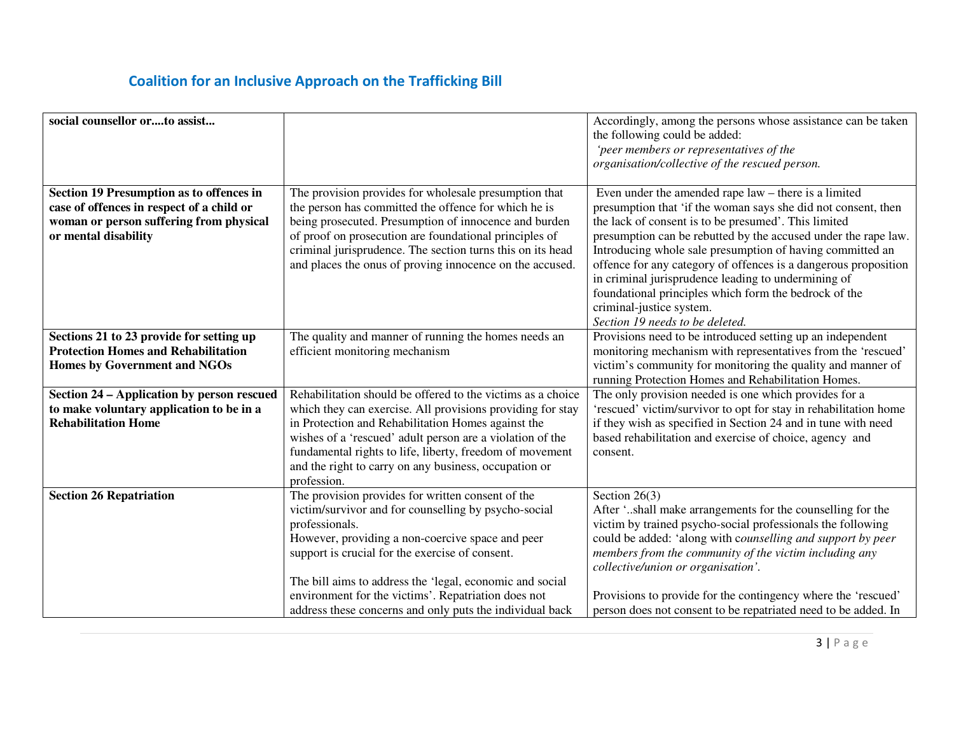| social counsellor orto assist                                                                                                                                   |                                                                                                                                                                                                                                                                                                                                                                                                                   | Accordingly, among the persons whose assistance can be taken<br>the following could be added:<br>'peer members or representatives of the<br>organisation/collective of the rescued person.                                                                                                                                                                                                                                                                                                                                                                     |
|-----------------------------------------------------------------------------------------------------------------------------------------------------------------|-------------------------------------------------------------------------------------------------------------------------------------------------------------------------------------------------------------------------------------------------------------------------------------------------------------------------------------------------------------------------------------------------------------------|----------------------------------------------------------------------------------------------------------------------------------------------------------------------------------------------------------------------------------------------------------------------------------------------------------------------------------------------------------------------------------------------------------------------------------------------------------------------------------------------------------------------------------------------------------------|
| <b>Section 19 Presumption as to offences in</b><br>case of offences in respect of a child or<br>woman or person suffering from physical<br>or mental disability | The provision provides for wholesale presumption that<br>the person has committed the offence for which he is<br>being prosecuted. Presumption of innocence and burden<br>of proof on prosecution are foundational principles of<br>criminal jurisprudence. The section turns this on its head<br>and places the onus of proving innocence on the accused.                                                        | Even under the amended rape law – there is a limited<br>presumption that 'if the woman says she did not consent, then<br>the lack of consent is to be presumed'. This limited<br>presumption can be rebutted by the accused under the rape law.<br>Introducing whole sale presumption of having committed an<br>offence for any category of offences is a dangerous proposition<br>in criminal jurisprudence leading to undermining of<br>foundational principles which form the bedrock of the<br>criminal-justice system.<br>Section 19 needs to be deleted. |
| Sections 21 to 23 provide for setting up<br><b>Protection Homes and Rehabilitation</b><br><b>Homes by Government and NGOs</b>                                   | The quality and manner of running the homes needs an<br>efficient monitoring mechanism                                                                                                                                                                                                                                                                                                                            | Provisions need to be introduced setting up an independent<br>monitoring mechanism with representatives from the 'rescued'<br>victim's community for monitoring the quality and manner of<br>running Protection Homes and Rehabilitation Homes.                                                                                                                                                                                                                                                                                                                |
| Section 24 – Application by person rescued<br>to make voluntary application to be in a<br><b>Rehabilitation Home</b>                                            | Rehabilitation should be offered to the victims as a choice<br>which they can exercise. All provisions providing for stay<br>in Protection and Rehabilitation Homes against the<br>wishes of a 'rescued' adult person are a violation of the<br>fundamental rights to life, liberty, freedom of movement<br>and the right to carry on any business, occupation or<br>profession.                                  | The only provision needed is one which provides for a<br>'rescued' victim/survivor to opt for stay in rehabilitation home<br>if they wish as specified in Section 24 and in tune with need<br>based rehabilitation and exercise of choice, agency and<br>consent.                                                                                                                                                                                                                                                                                              |
| <b>Section 26 Repatriation</b>                                                                                                                                  | The provision provides for written consent of the<br>victim/survivor and for counselling by psycho-social<br>professionals.<br>However, providing a non-coercive space and peer<br>support is crucial for the exercise of consent.<br>The bill aims to address the 'legal, economic and social<br>environment for the victims'. Repatriation does not<br>address these concerns and only puts the individual back | Section $26(3)$<br>After 'shall make arrangements for the counselling for the<br>victim by trained psycho-social professionals the following<br>could be added: 'along with counselling and support by peer<br>members from the community of the victim including any<br>collective/union or organisation'.<br>Provisions to provide for the contingency where the 'rescued'<br>person does not consent to be repatriated need to be added. In                                                                                                                 |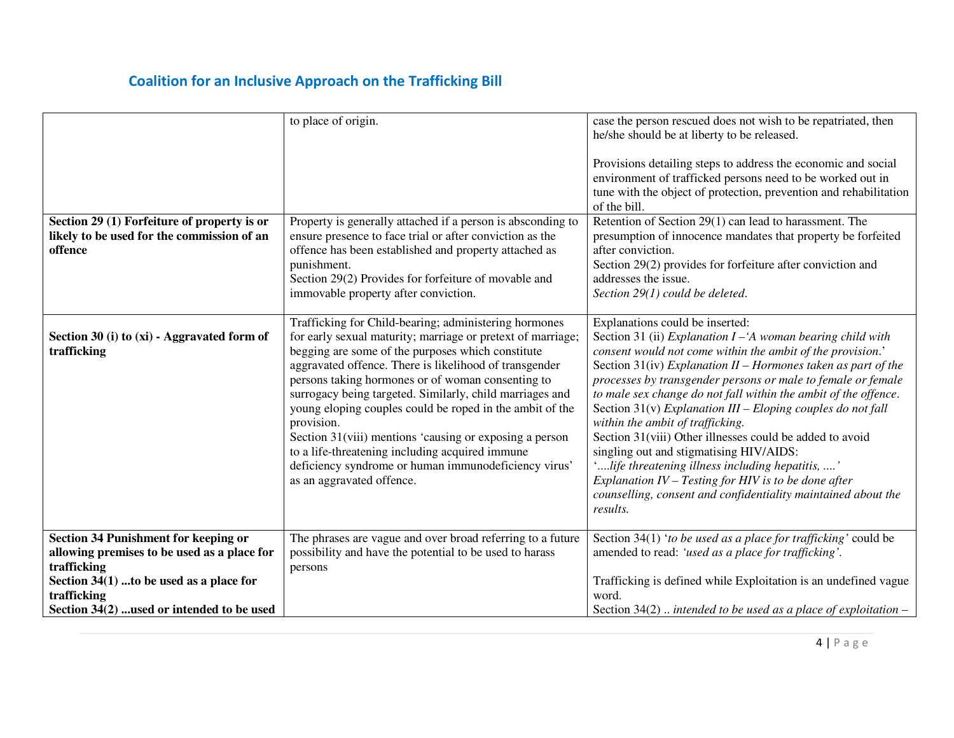|                                                                                                                                                                                                                     | to place of origin.                                                                                                                                                                                                                                                                                                                                                                                                                                                                                                                                                                                                               | case the person rescued does not wish to be repatriated, then<br>he/she should be at liberty to be released.<br>Provisions detailing steps to address the economic and social<br>environment of trafficked persons need to be worked out in<br>tune with the object of protection, prevention and rehabilitation<br>of the bill.                                                                                                                                                                                                                                                                                                                                                                                                                                         |
|---------------------------------------------------------------------------------------------------------------------------------------------------------------------------------------------------------------------|-----------------------------------------------------------------------------------------------------------------------------------------------------------------------------------------------------------------------------------------------------------------------------------------------------------------------------------------------------------------------------------------------------------------------------------------------------------------------------------------------------------------------------------------------------------------------------------------------------------------------------------|--------------------------------------------------------------------------------------------------------------------------------------------------------------------------------------------------------------------------------------------------------------------------------------------------------------------------------------------------------------------------------------------------------------------------------------------------------------------------------------------------------------------------------------------------------------------------------------------------------------------------------------------------------------------------------------------------------------------------------------------------------------------------|
| Section 29 (1) Forfeiture of property is or<br>likely to be used for the commission of an<br>offence                                                                                                                | Property is generally attached if a person is absconding to<br>ensure presence to face trial or after conviction as the<br>offence has been established and property attached as<br>punishment.<br>Section 29(2) Provides for forfeiture of movable and<br>immovable property after conviction.                                                                                                                                                                                                                                                                                                                                   | Retention of Section 29(1) can lead to harassment. The<br>presumption of innocence mandates that property be forfeited<br>after conviction.<br>Section 29(2) provides for forfeiture after conviction and<br>addresses the issue.<br>Section 29(1) could be deleted.                                                                                                                                                                                                                                                                                                                                                                                                                                                                                                     |
| Section 30 (i) to (xi) - Aggravated form of<br>trafficking                                                                                                                                                          | Trafficking for Child-bearing; administering hormones<br>for early sexual maturity; marriage or pretext of marriage;<br>begging are some of the purposes which constitute<br>aggravated offence. There is likelihood of transgender<br>persons taking hormones or of woman consenting to<br>surrogacy being targeted. Similarly, child marriages and<br>young eloping couples could be roped in the ambit of the<br>provision.<br>Section 31(viii) mentions 'causing or exposing a person<br>to a life-threatening including acquired immune<br>deficiency syndrome or human immunodeficiency virus'<br>as an aggravated offence. | Explanations could be inserted:<br>Section 31 (ii) Explanation $I - A$ woman bearing child with<br>consent would not come within the ambit of the provision.'<br>Section 31(iv) Explanation II - Hormones taken as part of the<br>processes by transgender persons or male to female or female<br>to male sex change do not fall within the ambit of the offence.<br>Section $31(v)$ Explanation III – Eloping couples do not fall<br>within the ambit of trafficking.<br>Section 31(viii) Other illnesses could be added to avoid<br>singling out and stigmatising HIV/AIDS:<br>'life threatening illness including hepatitis, '<br>Explanation $IV - Testing$ for HIV is to be done after<br>counselling, consent and confidentiality maintained about the<br>results. |
| <b>Section 34 Punishment for keeping or</b><br>allowing premises to be used as a place for<br>trafficking<br>Section $34(1)$ to be used as a place for<br>trafficking<br>Section 34(2)  used or intended to be used | The phrases are vague and over broad referring to a future<br>possibility and have the potential to be used to harass<br>persons                                                                                                                                                                                                                                                                                                                                                                                                                                                                                                  | Section 34(1) 'to be used as a place for trafficking' could be<br>amended to read: 'used as a place for trafficking'.<br>Trafficking is defined while Exploitation is an undefined vague<br>word.<br>Section 34(2)  intended to be used as a place of exploitation $-$                                                                                                                                                                                                                                                                                                                                                                                                                                                                                                   |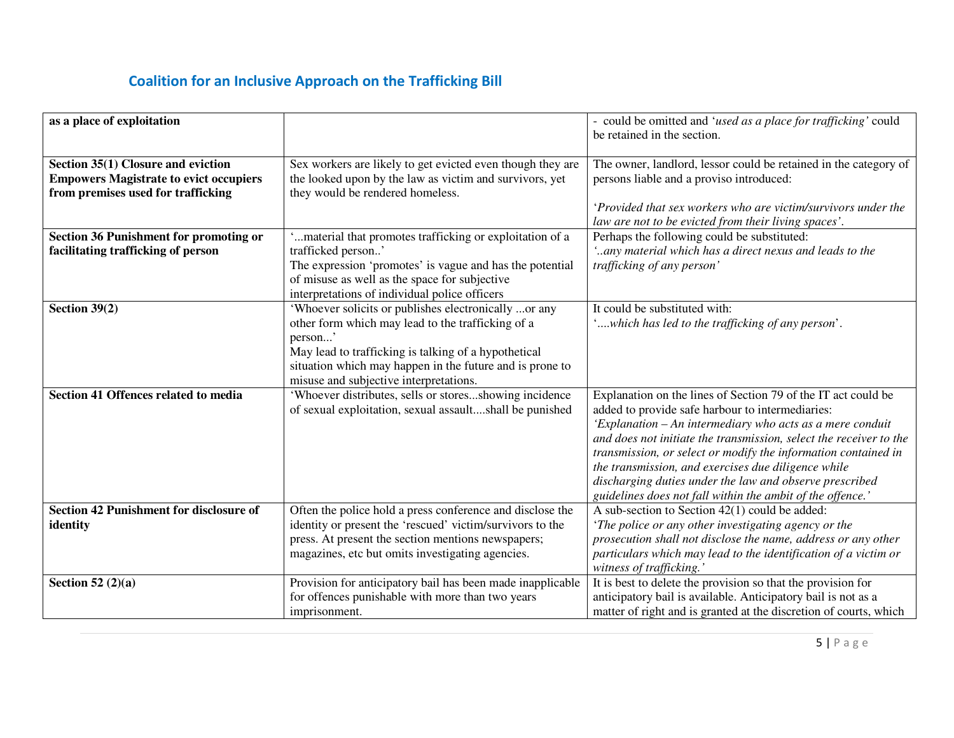| as a place of exploitation                                                                                                |                                                                                                                                                                                                                                                                                    | - could be omitted and 'used as a place for trafficking' could<br>be retained in the section.                                                                                                                                                                                                                                                                                                                                                                                                          |
|---------------------------------------------------------------------------------------------------------------------------|------------------------------------------------------------------------------------------------------------------------------------------------------------------------------------------------------------------------------------------------------------------------------------|--------------------------------------------------------------------------------------------------------------------------------------------------------------------------------------------------------------------------------------------------------------------------------------------------------------------------------------------------------------------------------------------------------------------------------------------------------------------------------------------------------|
| Section 35(1) Closure and eviction<br><b>Empowers Magistrate to evict occupiers</b><br>from premises used for trafficking | Sex workers are likely to get evicted even though they are<br>the looked upon by the law as victim and survivors, yet<br>they would be rendered homeless.                                                                                                                          | The owner, landlord, lessor could be retained in the category of<br>persons liable and a proviso introduced:<br>'Provided that sex workers who are victim/survivors under the                                                                                                                                                                                                                                                                                                                          |
|                                                                                                                           |                                                                                                                                                                                                                                                                                    | law are not to be evicted from their living spaces'.                                                                                                                                                                                                                                                                                                                                                                                                                                                   |
| <b>Section 36 Punishment for promoting or</b><br>facilitating trafficking of person                                       | material that promotes trafficking or exploitation of a<br>trafficked person'<br>The expression 'promotes' is vague and has the potential<br>of misuse as well as the space for subjective<br>interpretations of individual police officers                                        | Perhaps the following could be substituted:<br>'any material which has a direct nexus and leads to the<br>trafficking of any person'                                                                                                                                                                                                                                                                                                                                                                   |
| Section $39(2)$                                                                                                           | 'Whoever solicits or publishes electronically or any<br>other form which may lead to the trafficking of a<br>person'<br>May lead to trafficking is talking of a hypothetical<br>situation which may happen in the future and is prone to<br>misuse and subjective interpretations. | It could be substituted with:<br>'which has led to the trafficking of any person'.                                                                                                                                                                                                                                                                                                                                                                                                                     |
| Section 41 Offences related to media                                                                                      | 'Whoever distributes, sells or storesshowing incidence<br>of sexual exploitation, sexual assaultshall be punished                                                                                                                                                                  | Explanation on the lines of Section 79 of the IT act could be<br>added to provide safe harbour to intermediaries:<br>'Explanation - An intermediary who acts as a mere conduit<br>and does not initiate the transmission, select the receiver to the<br>transmission, or select or modify the information contained in<br>the transmission, and exercises due diligence while<br>discharging duties under the law and observe prescribed<br>guidelines does not fall within the ambit of the offence.' |
| <b>Section 42 Punishment for disclosure of</b><br>identity                                                                | Often the police hold a press conference and disclose the<br>identity or present the 'rescued' victim/survivors to the<br>press. At present the section mentions newspapers;<br>magazines, etc but omits investigating agencies.                                                   | A sub-section to Section $42(1)$ could be added:<br>'The police or any other investigating agency or the<br>prosecution shall not disclose the name, address or any other<br>particulars which may lead to the identification of a victim or<br>witness of trafficking.'                                                                                                                                                                                                                               |
| Section 52 $(2)(a)$                                                                                                       | Provision for anticipatory bail has been made inapplicable<br>for offences punishable with more than two years<br>imprisonment.                                                                                                                                                    | It is best to delete the provision so that the provision for<br>anticipatory bail is available. Anticipatory bail is not as a<br>matter of right and is granted at the discretion of courts, which                                                                                                                                                                                                                                                                                                     |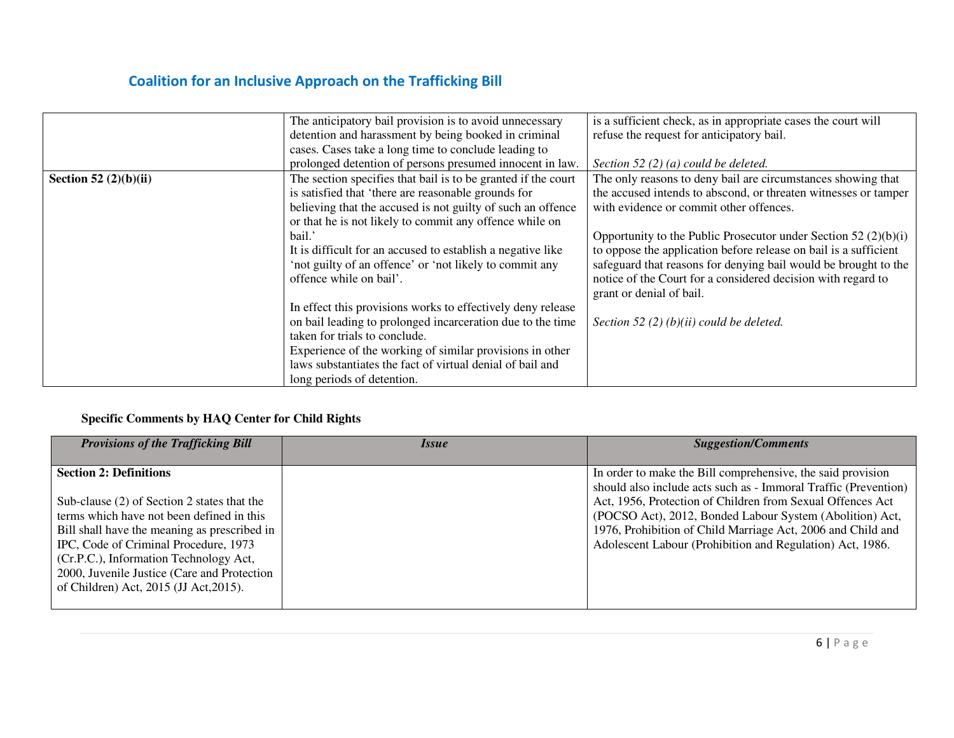|                         | The anticipatory bail provision is to avoid unnecessary       | is a sufficient check, as in appropriate cases the court will     |
|-------------------------|---------------------------------------------------------------|-------------------------------------------------------------------|
|                         | detention and harassment by being booked in criminal          | refuse the request for anticipatory bail.                         |
|                         | cases. Cases take a long time to conclude leading to          |                                                                   |
|                         | prolonged detention of persons presumed innocent in law.      | Section 52 (2) (a) could be deleted.                              |
| Section 52 $(2)(b)(ii)$ | The section specifies that bail is to be granted if the court | The only reasons to deny bail are circumstances showing that      |
|                         | is satisfied that 'there are reasonable grounds for           | the accused intends to abscond, or threaten witnesses or tamper   |
|                         | believing that the accused is not guilty of such an offence   | with evidence or commit other offences.                           |
|                         | or that he is not likely to commit any offence while on       |                                                                   |
|                         | bail.'                                                        | Opportunity to the Public Prosecutor under Section 52 $(2)(b)(i)$ |
|                         | It is difficult for an accused to establish a negative like   | to oppose the application before release on bail is a sufficient  |
|                         | 'not guilty of an offence' or 'not likely to commit any       | safeguard that reasons for denying bail would be brought to the   |
|                         | offence while on bail'.                                       | notice of the Court for a considered decision with regard to      |
|                         |                                                               | grant or denial of bail.                                          |
|                         | In effect this provisions works to effectively deny release   |                                                                   |
|                         | on bail leading to prolonged incarceration due to the time    | Section 52 (2) (b)(ii) could be deleted.                          |
|                         | taken for trials to conclude.                                 |                                                                   |
|                         | Experience of the working of similar provisions in other      |                                                                   |
|                         | laws substantiates the fact of virtual denial of bail and     |                                                                   |
|                         | long periods of detention.                                    |                                                                   |

#### **Specific Comments by HAQ Center for Child Rights**

| <b>Section 2: Definitions</b><br>In order to make the Bill comprehensive, the said provision<br>Act, 1956, Protection of Children from Sexual Offences Act<br>Sub-clause (2) of Section 2 states that the<br>terms which have not been defined in this<br>(POCSO Act), 2012, Bonded Labour System (Abolition) Act,<br>1976, Prohibition of Child Marriage Act, 2006 and Child and<br>Bill shall have the meaning as prescribed in | <b>Provisions of the Trafficking Bill</b> | <i>Issue</i> | <b>Suggestion/Comments</b>                                      |
|-----------------------------------------------------------------------------------------------------------------------------------------------------------------------------------------------------------------------------------------------------------------------------------------------------------------------------------------------------------------------------------------------------------------------------------|-------------------------------------------|--------------|-----------------------------------------------------------------|
| Adolescent Labour (Prohibition and Regulation) Act, 1986.<br>IPC, Code of Criminal Procedure, 1973<br>(Cr.P.C.), Information Technology Act,<br>2000, Juvenile Justice (Care and Protection<br>of Children) Act, 2015 (JJ Act, 2015).                                                                                                                                                                                             |                                           |              | should also include acts such as - Immoral Traffic (Prevention) |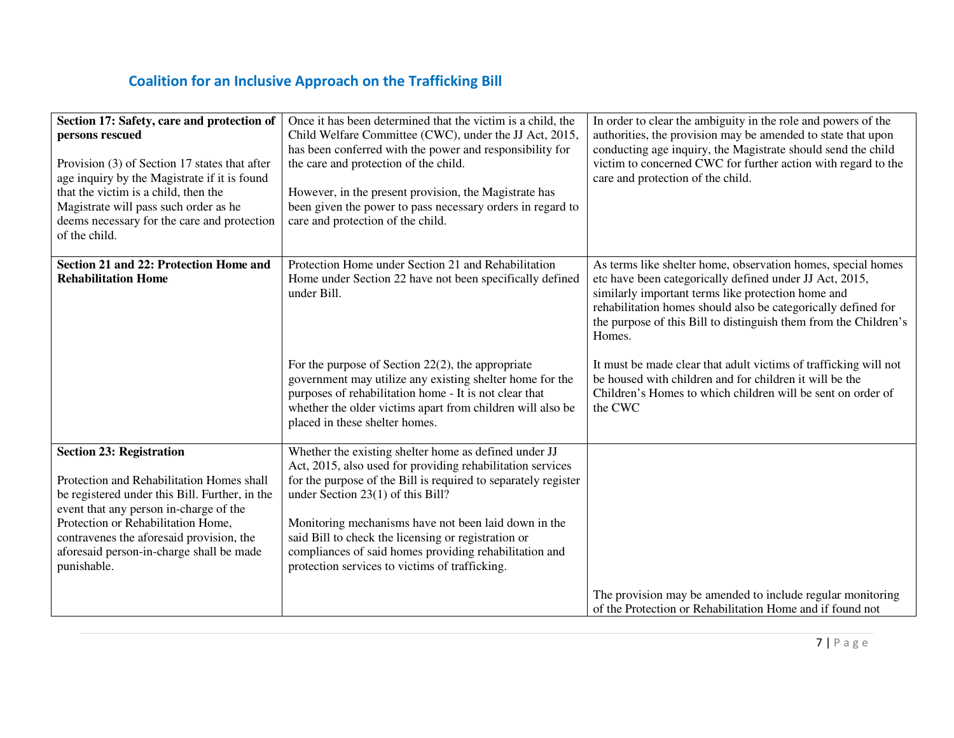| Section 17: Safety, care and protection of<br>persons rescued<br>Provision (3) of Section 17 states that after<br>age inquiry by the Magistrate if it is found<br>that the victim is a child, then the<br>Magistrate will pass such order as he<br>deems necessary for the care and protection<br>of the child.       | Once it has been determined that the victim is a child, the<br>Child Welfare Committee (CWC), under the JJ Act, 2015,<br>has been conferred with the power and responsibility for<br>the care and protection of the child.<br>However, in the present provision, the Magistrate has<br>been given the power to pass necessary orders in regard to<br>care and protection of the child.                                                                | In order to clear the ambiguity in the role and powers of the<br>authorities, the provision may be amended to state that upon<br>conducting age inquiry, the Magistrate should send the child<br>victim to concerned CWC for further action with regard to the<br>care and protection of the child.                          |
|-----------------------------------------------------------------------------------------------------------------------------------------------------------------------------------------------------------------------------------------------------------------------------------------------------------------------|-------------------------------------------------------------------------------------------------------------------------------------------------------------------------------------------------------------------------------------------------------------------------------------------------------------------------------------------------------------------------------------------------------------------------------------------------------|------------------------------------------------------------------------------------------------------------------------------------------------------------------------------------------------------------------------------------------------------------------------------------------------------------------------------|
| Section 21 and 22: Protection Home and<br><b>Rehabilitation Home</b>                                                                                                                                                                                                                                                  | Protection Home under Section 21 and Rehabilitation<br>Home under Section 22 have not been specifically defined<br>under Bill.                                                                                                                                                                                                                                                                                                                        | As terms like shelter home, observation homes, special homes<br>etc have been categorically defined under JJ Act, 2015,<br>similarly important terms like protection home and<br>rehabilitation homes should also be categorically defined for<br>the purpose of this Bill to distinguish them from the Children's<br>Homes. |
|                                                                                                                                                                                                                                                                                                                       | For the purpose of Section $22(2)$ , the appropriate<br>government may utilize any existing shelter home for the<br>purposes of rehabilitation home - It is not clear that<br>whether the older victims apart from children will also be<br>placed in these shelter homes.                                                                                                                                                                            | It must be made clear that adult victims of trafficking will not<br>be housed with children and for children it will be the<br>Children's Homes to which children will be sent on order of<br>the CWC                                                                                                                        |
| <b>Section 23: Registration</b><br>Protection and Rehabilitation Homes shall<br>be registered under this Bill. Further, in the<br>event that any person in-charge of the<br>Protection or Rehabilitation Home,<br>contravenes the aforesaid provision, the<br>aforesaid person-in-charge shall be made<br>punishable. | Whether the existing shelter home as defined under JJ<br>Act, 2015, also used for providing rehabilitation services<br>for the purpose of the Bill is required to separately register<br>under Section 23(1) of this Bill?<br>Monitoring mechanisms have not been laid down in the<br>said Bill to check the licensing or registration or<br>compliances of said homes providing rehabilitation and<br>protection services to victims of trafficking. |                                                                                                                                                                                                                                                                                                                              |
|                                                                                                                                                                                                                                                                                                                       |                                                                                                                                                                                                                                                                                                                                                                                                                                                       | The provision may be amended to include regular monitoring<br>of the Protection or Rehabilitation Home and if found not                                                                                                                                                                                                      |